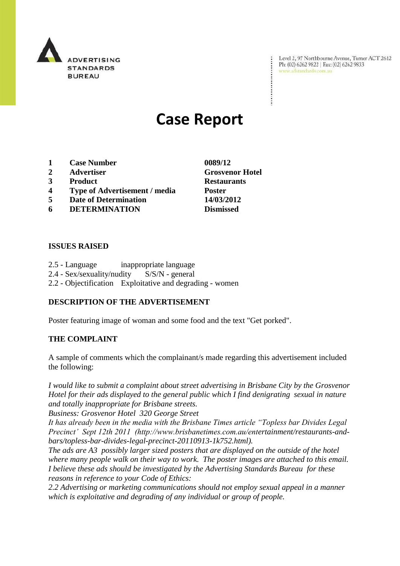

Level 2, 97 Northbourne Avenue, Turner ACT 2612 Ph: (02) 6262 9822 | Fax: (02) 6262 9833 www.adstandards.com.au

# **Case Report**

- **1 Case Number 0089/12**
- **2 Advertiser Grosvenor Hotel**
- **3 Product Restaurants**
- **4 Type of Advertisement / media Poster**
- **5 Date of Determination 14/03/2012**
- **6 DETERMINATION Dismissed**

### **ISSUES RAISED**

- 2.5 Language inappropriate language
- 2.4 Sex/sexuality/nudity S/S/N general
- 2.2 Objectification Exploitative and degrading women

# **DESCRIPTION OF THE ADVERTISEMENT**

Poster featuring image of woman and some food and the text "Get porked".

### **THE COMPLAINT**

A sample of comments which the complainant/s made regarding this advertisement included the following:

*I would like to submit a complaint about street advertising in Brisbane City by the Grosvenor Hotel for their ads displayed to the general public which I find denigrating sexual in nature and totally inappropriate for Brisbane streets.*

*Business: Grosvenor Hotel 320 George Street*

*It has already been in the media with the Brisbane Times article "Topless bar Divides Legal Precinct' Sept 12th 2011 (http://www.brisbanetimes.com.au/entertainment/restaurants-andbars/topless-bar-divides-legal-precinct-20110913-1k752.html).*

*The ads are A3 possibly larger sized posters that are displayed on the outside of the hotel where many people walk on their way to work. The poster images are attached to this email. I believe these ads should be investigated by the Advertising Standards Bureau for these reasons in reference to your Code of Ethics:*

*2.2 Advertising or marketing communications should not employ sexual appeal in a manner which is exploitative and degrading of any individual or group of people.*

 $\ddot{\cdot}$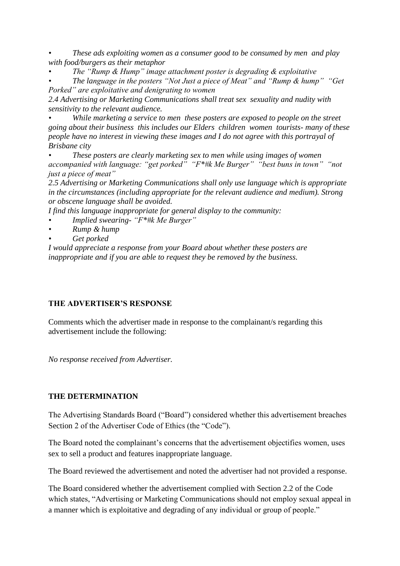*• These ads exploiting women as a consumer good to be consumed by men and play with food/burgers as their metaphor*

*• The "Rump & Hump" image attachment poster is degrading & exploitative*

*• The language in the posters "Not Just a piece of Meat" and "Rump & hump" "Get Porked" are exploitative and denigrating to women*

*2.4 Advertising or Marketing Communications shall treat sex sexuality and nudity with sensitivity to the relevant audience.*

*• While marketing a service to men these posters are exposed to people on the street going about their business this includes our Elders children women tourists- many of these people have no interest in viewing these images and I do not agree with this portrayal of Brisbane city*

*• These posters are clearly marketing sex to men while using images of women*  accompanied with language: "get porked" "F\*#k Me Burger" "best buns in town" "not *just a piece of meat"*

*2.5 Advertising or Marketing Communications shall only use language which is appropriate in the circumstances (including appropriate for the relevant audience and medium). Strong or obscene language shall be avoided.*

*I find this language inappropriate for general display to the community:*

- *• Implied swearing- "F\*#k Me Burger"*
- *• Rump & hump*
- *• Get porked*

*I would appreciate a response from your Board about whether these posters are inappropriate and if you are able to request they be removed by the business.*

# **THE ADVERTISER'S RESPONSE**

Comments which the advertiser made in response to the complainant/s regarding this advertisement include the following:

*No response received from Advertiser.*

# **THE DETERMINATION**

The Advertising Standards Board ("Board") considered whether this advertisement breaches Section 2 of the Advertiser Code of Ethics (the "Code").

The Board noted the complainant's concerns that the advertisement objectifies women, uses sex to sell a product and features inappropriate language.

The Board reviewed the advertisement and noted the advertiser had not provided a response.

The Board considered whether the advertisement complied with Section 2.2 of the Code which states, "Advertising or Marketing Communications should not employ sexual appeal in a manner which is exploitative and degrading of any individual or group of people."